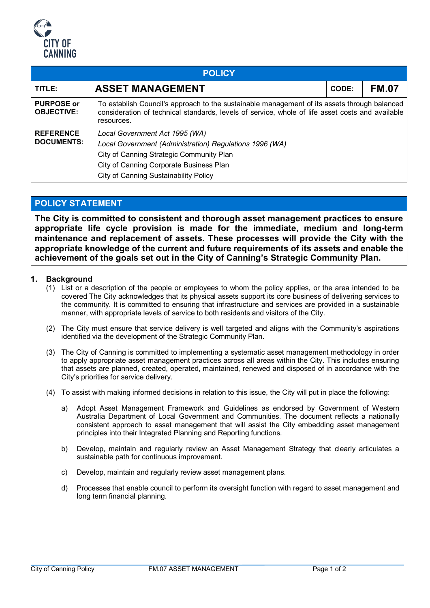

| <b>POLICY</b>                          |                                                                                                                                                                                                                                  |  |              |  |  |  |
|----------------------------------------|----------------------------------------------------------------------------------------------------------------------------------------------------------------------------------------------------------------------------------|--|--------------|--|--|--|
| TITLE:                                 | <b>ASSET MANAGEMENT</b>                                                                                                                                                                                                          |  | <b>FM.07</b> |  |  |  |
| <b>PURPOSE or</b><br><b>OBJECTIVE:</b> | To establish Council's approach to the sustainable management of its assets through balanced<br>consideration of technical standards, levels of service, whole of life asset costs and available<br>resources.                   |  |              |  |  |  |
| <b>REFERENCE</b><br><b>DOCUMENTS:</b>  | Local Government Act 1995 (WA)<br>Local Government (Administration) Regulations 1996 (WA)<br>City of Canning Strategic Community Plan<br>City of Canning Corporate Business Plan<br><b>City of Canning Sustainability Policy</b> |  |              |  |  |  |

# **POLICY STATEMENT**

**The City is committed to consistent and thorough asset management practices to ensure appropriate life cycle provision is made for the immediate, medium and long-term maintenance and replacement of assets. These processes will provide the City with the appropriate knowledge of the current and future requirements of its assets and enable the achievement of the goals set out in the City of Canning's Strategic Community Plan.**

### **1. Background**

- (1) List or a description of the people or employees to whom the policy applies, or the area intended to be covered The City acknowledges that its physical assets support its core business of delivering services to the community. It is committed to ensuring that infrastructure and services are provided in a sustainable manner, with appropriate levels of service to both residents and visitors of the City.
- (2) The City must ensure that service delivery is well targeted and aligns with the Community's aspirations identified via the development of the Strategic Community Plan.
- (3) The City of Canning is committed to implementing a systematic asset management methodology in order to apply appropriate asset management practices across all areas within the City. This includes ensuring that assets are planned, created, operated, maintained, renewed and disposed of in accordance with the City's priorities for service delivery.
- (4) To assist with making informed decisions in relation to this issue, the City will put in place the following:
	- a) Adopt Asset Management Framework and Guidelines as endorsed by Government of Western Australia Department of Local Government and Communities. The document reflects a nationally consistent approach to asset management that will assist the City embedding asset management principles into their Integrated Planning and Reporting functions.
	- b) Develop, maintain and regularly review an Asset Management Strategy that clearly articulates a sustainable path for continuous improvement.
	- c) Develop, maintain and regularly review asset management plans.
	- d) Processes that enable council to perform its oversight function with regard to asset management and long term financial planning.